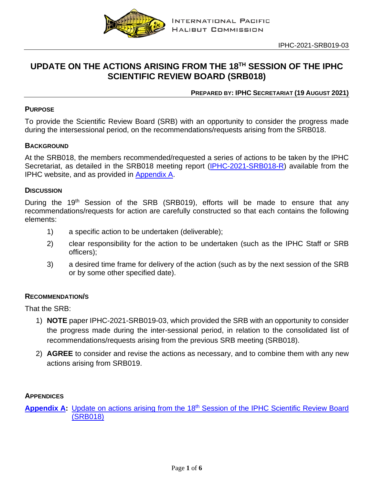

# **UPDATE ON THE ACTIONS ARISING FROM THE 18TH SESSION OF THE IPHC SCIENTIFIC REVIEW BOARD (SRB018)**

# **PREPARED BY: IPHC SECRETARIAT (19 AUGUST 2021)**

## **PURPOSE**

To provide the Scientific Review Board (SRB) with an opportunity to consider the progress made during the intersessional period, on the recommendations/requests arising from the SRB018.

## **BACKGROUND**

At the SRB018, the members recommended/requested a series of actions to be taken by the IPHC Secretariat, as detailed in the SRB018 meeting report [\(IPHC-2021-SRB018-R\)](https://www.iphc.int/uploads/pdf/srb/srb018/iphc-2021-srb018-r.pdf) available from the IPHC website, and as provided in [Appendix](#page-1-0) A.

#### **DISCUSSION**

During the 19<sup>th</sup> Session of the SRB (SRB019), efforts will be made to ensure that any recommendations/requests for action are carefully constructed so that each contains the following elements:

- 1) a specific action to be undertaken (deliverable);
- 2) clear responsibility for the action to be undertaken (such as the IPHC Staff or SRB officers);
- 3) a desired time frame for delivery of the action (such as by the next session of the SRB or by some other specified date).

#### **RECOMMENDATION/S**

That the SRB:

- 1) **NOTE** paper IPHC-2021-SRB019-03, which provided the SRB with an opportunity to consider the progress made during the inter-sessional period, in relation to the consolidated list of recommendations/requests arising from the previous SRB meeting (SRB018).
- 2) **AGREE** to consider and revise the actions as necessary, and to combine them with any new actions arising from SRB019.

#### **APPENDICES**

**[Appendix](#page-1-0) A:** Update on actions arising from the 18<sup>th</sup> Session of the IPHC Scientific Review Board [\(SRB018\)](#page-1-0)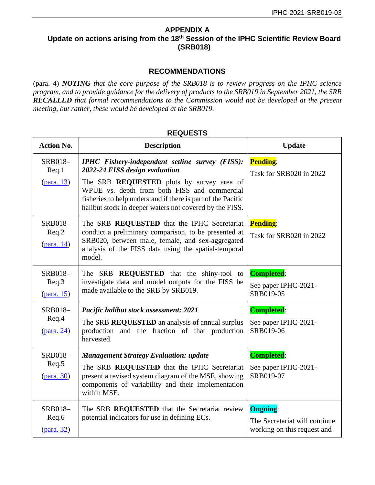## <span id="page-1-0"></span>**APPENDIX A Update on actions arising from the 18th Session of the IPHC Scientific Review Board (SRB018)**

## **RECOMMENDATIONS**

(para. 4) *NOTING that the core purpose of the SRB018 is to review progress on the IPHC science program, and to provide guidance for the delivery of products to the SRB019 in September 2021, the SRB RECALLED that formal recommendations to the Commission would not be developed at the present meeting, but rather, these would be developed at the SRB019.*

| <b>Action No.</b>                               | <b>Description</b>                                                                                                                                                                                                                                                                                                      | <b>Update</b>                                                                   |
|-------------------------------------------------|-------------------------------------------------------------------------------------------------------------------------------------------------------------------------------------------------------------------------------------------------------------------------------------------------------------------------|---------------------------------------------------------------------------------|
| <b>SRB018-</b><br>Req.1<br>$2(para. 13)$        | <b>IPHC</b> Fishery-independent setline survey (FISS):<br>2022-24 FISS design evaluation<br>The SRB <b>REQUESTED</b> plots by survey area of<br>WPUE vs. depth from both FISS and commercial<br>fisheries to help understand if there is part of the Pacific<br>halibut stock in deeper waters not covered by the FISS. | <b>Pending:</b><br>Task for SRB020 in 2022                                      |
| SRB018-<br>Req.2<br>$(\text{para. } 14)$        | The SRB REQUESTED that the IPHC Secretariat<br>conduct a preliminary comparison, to be presented at<br>SRB020, between male, female, and sex-aggregated<br>analysis of the FISS data using the spatial-temporal<br>model.                                                                                               | <b>Pending:</b><br>Task for SRB020 in 2022                                      |
| SRB018-<br>Req.3<br>$(\text{para. } 15)$        | The SRB <b>REQUESTED</b> that the shiny-tool to<br>investigate data and model outputs for the FISS be<br>made available to the SRB by SRB019.                                                                                                                                                                           | <b>Completed:</b><br>See paper IPHC-2021-<br>SRB019-05                          |
| SRB018-<br>Req.4<br>$(para. 24)$                | Pacific halibut stock assessment: 2021<br>The SRB REQUESTED an analysis of annual surplus<br>production and the fraction of that production<br>harvested.                                                                                                                                                               | <b>Completed:</b><br>See paper IPHC-2021-<br>SRB019-06                          |
| SRB018-<br>Req.5<br>$(para. 30)$                | <b>Management Strategy Evaluation: update</b><br>The SRB REQUESTED that the IPHC Secretariat<br>present a revised system diagram of the MSE, showing<br>components of variability and their implementation<br>within MSE.                                                                                               | <b>Completed:</b><br>See paper IPHC-2021-<br>SRB019-07                          |
| <b>SRB018-</b><br>Req.6<br>$(\text{para. } 32)$ | The SRB REQUESTED that the Secretariat review<br>potential indicators for use in defining ECs.                                                                                                                                                                                                                          | <b>Ongoing:</b><br>The Secretariat will continue<br>working on this request and |

## **REQUESTS**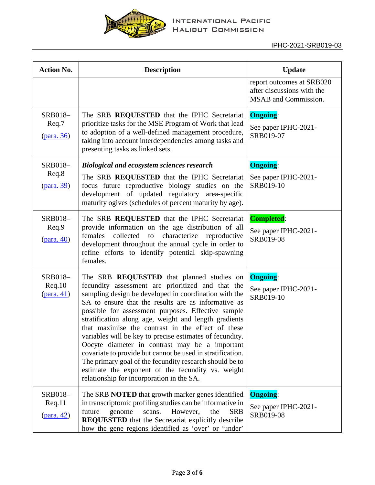

| <b>Action No.</b>                       | <b>Description</b>                                                                                                                                                                                                                                                                                                                                                                                                                                                                                                                                                                                                                                                                                                                 | <b>Update</b>                                                                   |
|-----------------------------------------|------------------------------------------------------------------------------------------------------------------------------------------------------------------------------------------------------------------------------------------------------------------------------------------------------------------------------------------------------------------------------------------------------------------------------------------------------------------------------------------------------------------------------------------------------------------------------------------------------------------------------------------------------------------------------------------------------------------------------------|---------------------------------------------------------------------------------|
|                                         |                                                                                                                                                                                                                                                                                                                                                                                                                                                                                                                                                                                                                                                                                                                                    | report outcomes at SRB020<br>after discussions with the<br>MSAB and Commission. |
| SRB018-<br>Req.7<br>(para. 36)          | The SRB <b>REQUESTED</b> that the IPHC Secretariat<br>prioritize tasks for the MSE Program of Work that lead<br>to adoption of a well-defined management procedure,<br>taking into account interdependencies among tasks and<br>presenting tasks as linked sets.                                                                                                                                                                                                                                                                                                                                                                                                                                                                   | <b>Ongoing:</b><br>See paper IPHC-2021-<br>SRB019-07                            |
| SRB018-<br>Req.8<br>(para. 39)          | <b>Biological and ecosystem sciences research</b><br>The SRB REQUESTED that the IPHC Secretariat<br>focus future reproductive biology studies on the<br>development of updated regulatory area-specific<br>maturity ogives (schedules of percent maturity by age).                                                                                                                                                                                                                                                                                                                                                                                                                                                                 | <b>Ongoing:</b><br>See paper IPHC-2021-<br>SRB019-10                            |
| SRB018-<br>Req.9<br>$(\text{para. }40)$ | The SRB <b>REQUESTED</b> that the IPHC Secretariat<br>provide information on the age distribution of all<br>collected<br>characterize<br>females<br>to<br>reproductive<br>development throughout the annual cycle in order to<br>refine efforts to identify potential skip-spawning<br>females.                                                                                                                                                                                                                                                                                                                                                                                                                                    | <b>Completed:</b><br>See paper IPHC-2021-<br>SRB019-08                          |
| SRB018-<br>Req.10<br>$(para. 41)$       | The SRB <b>REQUESTED</b> that planned studies on<br>fecundity assessment are prioritized and that the<br>sampling design be developed in coordination with the<br>SA to ensure that the results are as informative as<br>possible for assessment purposes. Effective sample<br>stratification along age, weight and length gradients<br>that maximise the contrast in the effect of these<br>variables will be key to precise estimates of fecundity.<br>Oocyte diameter in contrast may be a important<br>covariate to provide but cannot be used in stratification.<br>The primary goal of the fecundity research should be to<br>estimate the exponent of the fecundity vs. weight<br>relationship for incorporation in the SA. | <b>Ongoing:</b><br>See paper IPHC-2021-<br>SRB019-10                            |
| SRB018-<br>Req.11<br><u>(para. 42)</u>  | The SRB <b>NOTED</b> that growth marker genes identified<br>in transcriptomic profiling studies can be informative in<br>However,<br>future<br>genome<br>scans.<br>the<br><b>SRB</b><br><b>REQUESTED</b> that the Secretariat explicitly describe<br>how the gene regions identified as 'over' or 'under'                                                                                                                                                                                                                                                                                                                                                                                                                          | <b>Ongoing:</b><br>See paper IPHC-2021-<br>SRB019-08                            |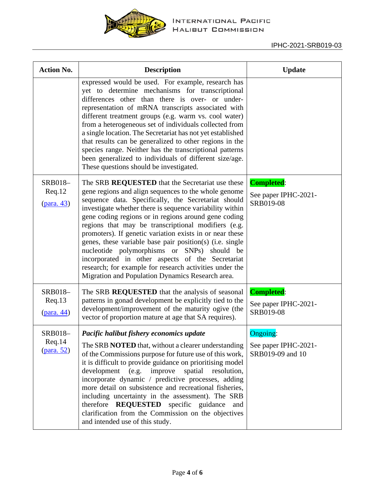

| <b>Action No.</b>                         | <b>Description</b>                                                                                                                                                                                                                                                                                                                                                                                                                                                                                                                                                                                                                                                                   | <b>Update</b>                                               |
|-------------------------------------------|--------------------------------------------------------------------------------------------------------------------------------------------------------------------------------------------------------------------------------------------------------------------------------------------------------------------------------------------------------------------------------------------------------------------------------------------------------------------------------------------------------------------------------------------------------------------------------------------------------------------------------------------------------------------------------------|-------------------------------------------------------------|
|                                           | expressed would be used. For example, research has<br>yet to determine mechanisms for transcriptional<br>differences other than there is over- or under-<br>representation of mRNA transcripts associated with<br>different treatment groups (e.g. warm vs. cool water)<br>from a heterogeneous set of individuals collected from<br>a single location. The Secretariat has not yet established<br>that results can be generalized to other regions in the<br>species range. Neither has the transcriptional patterns<br>been generalized to individuals of different size/age.<br>These questions should be investigated.                                                           |                                                             |
| SRB018-<br>Req.12<br>$(para. 43)$         | The SRB REQUESTED that the Secretariat use these<br>gene regions and align sequences to the whole genome<br>sequence data. Specifically, the Secretariat should<br>investigate whether there is sequence variability within<br>gene coding regions or in regions around gene coding<br>regions that may be transcriptional modifiers (e.g.<br>promoters). If genetic variation exists in or near these<br>genes, these variable base pair position(s) (i.e. single<br>nucleotide polymorphisms or SNPs) should be<br>incorporated in other aspects of the Secretariat<br>research; for example for research activities under the<br>Migration and Population Dynamics Research area. | <b>Completed:</b><br>See paper IPHC-2021-<br>SRB019-08      |
| SRB018-<br>Req.13<br>$(\text{para. } 44)$ | The SRB REQUESTED that the analysis of seasonal<br>patterns in gonad development be explicitly tied to the<br>development/improvement of the maturity ogive (the<br>vector of proportion mature at age that SA requires).                                                                                                                                                                                                                                                                                                                                                                                                                                                            | <b>Completed:</b><br>See paper IPHC-2021-<br>SRB019-08      |
| SRB018-<br>Req.14<br>(para. 52)           | Pacific halibut fishery economics update<br>The SRB <b>NOTED</b> that, without a clearer understanding<br>of the Commissions purpose for future use of this work,<br>it is difficult to provide guidance on prioritising model<br>development (e.g. improve spatial<br>resolution,<br>incorporate dynamic / predictive processes, adding<br>more detail on subsistence and recreational fisheries,<br>including uncertainty in the assessment). The SRB<br>therefore <b>REQUESTED</b> specific guidance<br>and<br>clarification from the Commission on the objectives<br>and intended use of this study.                                                                             | <b>Ongoing:</b><br>See paper IPHC-2021-<br>SRB019-09 and 10 |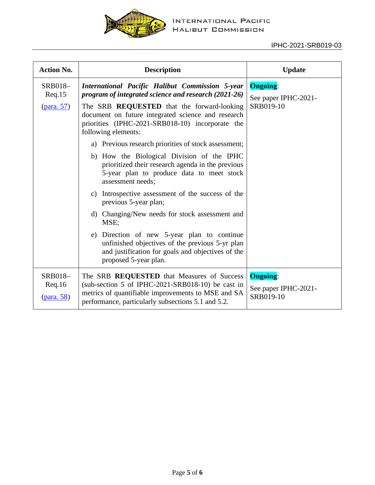

| <b>Action No.</b>                        | <b>Description</b>                                                                                                                                                                                                                                                                                                                                                                                                                                                                                                                                                                                                                                                                                                                                                                                                                                   | <b>Update</b>                                        |
|------------------------------------------|------------------------------------------------------------------------------------------------------------------------------------------------------------------------------------------------------------------------------------------------------------------------------------------------------------------------------------------------------------------------------------------------------------------------------------------------------------------------------------------------------------------------------------------------------------------------------------------------------------------------------------------------------------------------------------------------------------------------------------------------------------------------------------------------------------------------------------------------------|------------------------------------------------------|
| SRB018-<br>Req.15<br>(para. 57)          | International Pacific Halibut Commission 5-year<br>program of integrated science and research (2021-26)<br>The SRB REQUESTED that the forward-looking<br>document on future integrated science and research<br>priorities (IPHC-2021-SRB018-10) incorporate the<br>following elements:<br>Previous research priorities of stock assessment;<br>a)<br>b) How the Biological Division of the IPHC<br>prioritized their research agenda in the previous<br>5-year plan to produce data to meet stock<br>assessment needs;<br>Introspective assessment of the success of the<br>C)<br>previous 5-year plan;<br>d) Changing/New needs for stock assessment and<br>MSE;<br>Direction of new 5-year plan to continue<br>e)<br>unfinished objectives of the previous 5-yr plan<br>and justification for goals and objectives of the<br>proposed 5-year plan. | <b>Ongoing:</b><br>See paper IPHC-2021-<br>SRB019-10 |
| <b>SRB018-</b><br>Req.16<br>$(para. 58)$ | The SRB REQUESTED that Measures of Success<br>(sub-section 5 of IPHC-2021-SRB018-10) be cast in<br>metrics of quantifiable improvements to MSE and SA<br>performance, particularly subsections 5.1 and 5.2.                                                                                                                                                                                                                                                                                                                                                                                                                                                                                                                                                                                                                                          | <b>Ongoing:</b><br>See paper IPHC-2021-<br>SRB019-10 |